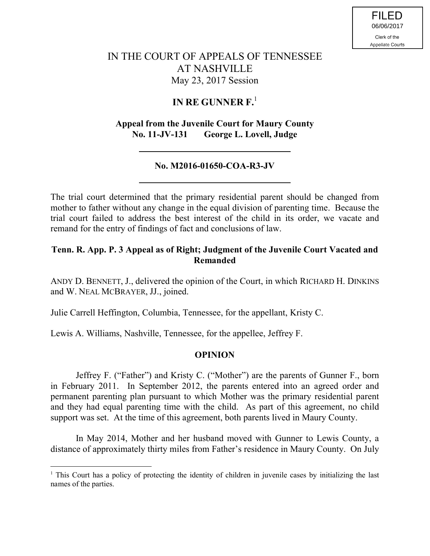# IN THE COURT OF APPEALS OF TENNESSEE AT NASHVILLE May 23, 2017 Session

## **IN RE GUNNER F.**<sup>1</sup>

### **Appeal from the Juvenile Court for Maury County No. 11-JV-131 George L. Lovell, Judge**

#### **No. M2016-01650-COA-R3-JV**

The trial court determined that the primary residential parent should be changed from mother to father without any change in the equal division of parenting time. Because the trial court failed to address the best interest of the child in its order, we vacate and remand for the entry of findings of fact and conclusions of law.

### **Tenn. R. App. P. 3 Appeal as of Right; Judgment of the Juvenile Court Vacated and Remanded**

ANDY D. BENNETT, J., delivered the opinion of the Court, in which RICHARD H. DINKINS and W. NEAL MCBRAYER, JJ., joined.

Julie Carrell Heffington, Columbia, Tennessee, for the appellant, Kristy C.

Lewis A. Williams, Nashville, Tennessee, for the appellee, Jeffrey F.

 $\overline{a}$ 

### **OPINION**

Jeffrey F. ("Father") and Kristy C. ("Mother") are the parents of Gunner F., born in February 2011. In September 2012, the parents entered into an agreed order and permanent parenting plan pursuant to which Mother was the primary residential parent and they had equal parenting time with the child. As part of this agreement, no child support was set. At the time of this agreement, both parents lived in Maury County.

In May 2014, Mother and her husband moved with Gunner to Lewis County, a distance of approximately thirty miles from Father's residence in Maury County. On July

<sup>&</sup>lt;sup>1</sup> This Court has a policy of protecting the identity of children in juvenile cases by initializing the last names of the parties.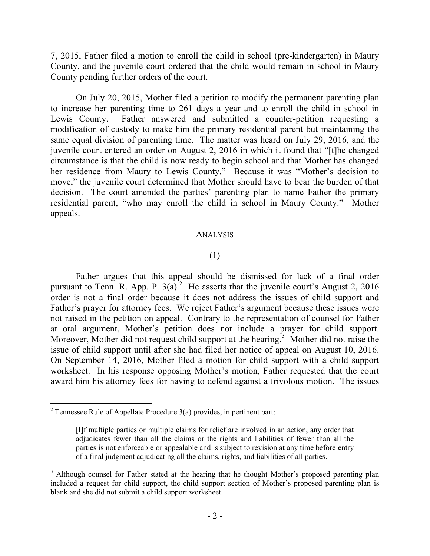7, 2015, Father filed a motion to enroll the child in school (pre-kindergarten) in Maury County, and the juvenile court ordered that the child would remain in school in Maury County pending further orders of the court.

On July 20, 2015, Mother filed a petition to modify the permanent parenting plan to increase her parenting time to 261 days a year and to enroll the child in school in Lewis County. Father answered and submitted a counter-petition requesting a modification of custody to make him the primary residential parent but maintaining the same equal division of parenting time. The matter was heard on July 29, 2016, and the juvenile court entered an order on August 2, 2016 in which it found that "[t]he changed circumstance is that the child is now ready to begin school and that Mother has changed her residence from Maury to Lewis County." Because it was "Mother's decision to move," the juvenile court determined that Mother should have to bear the burden of that decision. The court amended the parties' parenting plan to name Father the primary residential parent, "who may enroll the child in school in Maury County." Mother appeals.

#### ANALYSIS

### (1)

Father argues that this appeal should be dismissed for lack of a final order pursuant to Tenn. R. App. P.  $3(a)$ .<sup>2</sup> He asserts that the juvenile court's August 2, 2016 order is not a final order because it does not address the issues of child support and Father's prayer for attorney fees. We reject Father's argument because these issues were not raised in the petition on appeal. Contrary to the representation of counsel for Father at oral argument, Mother's petition does not include a prayer for child support. Moreover, Mother did not request child support at the hearing.<sup>3</sup> Mother did not raise the issue of child support until after she had filed her notice of appeal on August 10, 2016. On September 14, 2016, Mother filed a motion for child support with a child support worksheet. In his response opposing Mother's motion, Father requested that the court award him his attorney fees for having to defend against a frivolous motion. The issues

<sup>&</sup>lt;sup>2</sup> Tennessee Rule of Appellate Procedure  $3(a)$  provides, in pertinent part:

<sup>[</sup>I]f multiple parties or multiple claims for relief are involved in an action, any order that adjudicates fewer than all the claims or the rights and liabilities of fewer than all the parties is not enforceable or appealable and is subject to revision at any time before entry of a final judgment adjudicating all the claims, rights, and liabilities of all parties.

<sup>&</sup>lt;sup>3</sup> Although counsel for Father stated at the hearing that he thought Mother's proposed parenting plan included a request for child support, the child support section of Mother's proposed parenting plan is blank and she did not submit a child support worksheet.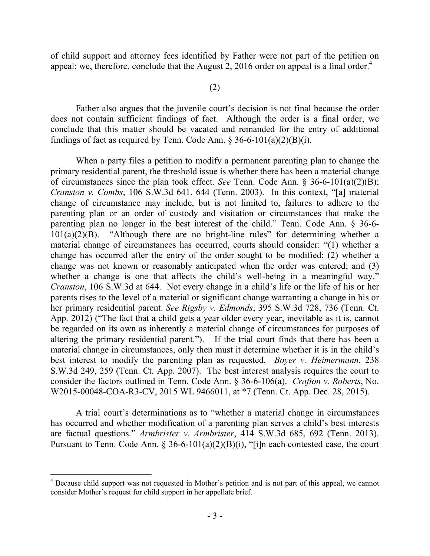of child support and attorney fees identified by Father were not part of the petition on appeal; we, therefore, conclude that the August 2, 2016 order on appeal is a final order.<sup>4</sup>

#### (2)

Father also argues that the juvenile court's decision is not final because the order does not contain sufficient findings of fact. Although the order is a final order, we conclude that this matter should be vacated and remanded for the entry of additional findings of fact as required by Tenn. Code Ann.  $\S 36-6-101(a)(2)(B)(i)$ .

When a party files a petition to modify a permanent parenting plan to change the primary residential parent, the threshold issue is whether there has been a material change of circumstances since the plan took effect. *See* Tenn. Code Ann. § 36-6-101(a)(2)(B); *Cranston v. Combs*, 106 S.W.3d 641, 644 (Tenn. 2003). In this context, "[a] material change of circumstance may include, but is not limited to, failures to adhere to the parenting plan or an order of custody and visitation or circumstances that make the parenting plan no longer in the best interest of the child." Tenn. Code Ann. § 36-6-  $101(a)(2)(B)$ . "Although there are no bright-line rules" for determining whether a material change of circumstances has occurred, courts should consider: "(1) whether a change has occurred after the entry of the order sought to be modified; (2) whether a change was not known or reasonably anticipated when the order was entered; and (3) whether a change is one that affects the child's well-being in a meaningful way." *Cranston*, 106 S.W.3d at 644. Not every change in a child's life or the life of his or her parents rises to the level of a material or significant change warranting a change in his or her primary residential parent. *See Rigsby v. Edmonds*, 395 S.W.3d 728, 736 (Tenn. Ct. App. 2012) ("The fact that a child gets a year older every year, inevitable as it is, cannot be regarded on its own as inherently a material change of circumstances for purposes of altering the primary residential parent."). If the trial court finds that there has been a material change in circumstances, only then must it determine whether it is in the child's best interest to modify the parenting plan as requested. *Boyer v. Heimermann*, 238 S.W.3d 249, 259 (Tenn. Ct. App. 2007). The best interest analysis requires the court to consider the factors outlined in Tenn. Code Ann. § 36-6-106(a). *Crafton v. Roberts*, No. W2015-00048-COA-R3-CV, 2015 WL 9466011, at \*7 (Tenn. Ct. App. Dec. 28, 2015).

A trial court's determinations as to "whether a material change in circumstances has occurred and whether modification of a parenting plan serves a child's best interests are factual questions." *Armbrister v. Armbrister*, 414 S.W.3d 685, 692 (Tenn. 2013). Pursuant to Tenn. Code Ann.  $\S 36-6-101(a)(2)(B)(i)$ , "[i]n each contested case, the court

 $\overline{a}$ 

<sup>&</sup>lt;sup>4</sup> Because child support was not requested in Mother's petition and is not part of this appeal, we cannot consider Mother's request for child support in her appellate brief.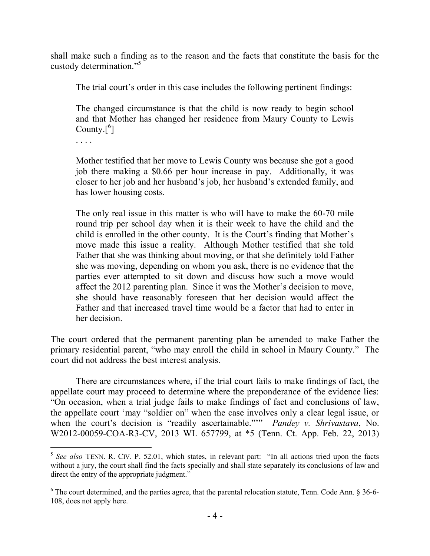shall make such a finding as to the reason and the facts that constitute the basis for the custody determination."<sup>5</sup>

The trial court's order in this case includes the following pertinent findings:

The changed circumstance is that the child is now ready to begin school and that Mother has changed her residence from Maury County to Lewis County. $[6]$ 

. . . .

 $\overline{a}$ 

Mother testified that her move to Lewis County was because she got a good job there making a \$0.66 per hour increase in pay. Additionally, it was closer to her job and her husband's job, her husband's extended family, and has lower housing costs.

The only real issue in this matter is who will have to make the 60-70 mile round trip per school day when it is their week to have the child and the child is enrolled in the other county. It is the Court's finding that Mother's move made this issue a reality. Although Mother testified that she told Father that she was thinking about moving, or that she definitely told Father she was moving, depending on whom you ask, there is no evidence that the parties ever attempted to sit down and discuss how such a move would affect the 2012 parenting plan. Since it was the Mother's decision to move, she should have reasonably foreseen that her decision would affect the Father and that increased travel time would be a factor that had to enter in her decision.

The court ordered that the permanent parenting plan be amended to make Father the primary residential parent, "who may enroll the child in school in Maury County." The court did not address the best interest analysis.

There are circumstances where, if the trial court fails to make findings of fact, the appellate court may proceed to determine where the preponderance of the evidence lies: "On occasion, when a trial judge fails to make findings of fact and conclusions of law, the appellate court 'may "soldier on" when the case involves only a clear legal issue, or when the court's decision is "readily ascertainable."'" *Pandey v. Shrivastava*, No. W2012-00059-COA-R3-CV, 2013 WL 657799, at \*5 (Tenn. Ct. App. Feb. 22, 2013)

<sup>&</sup>lt;sup>5</sup> See also TENN. R. CIV. P. 52.01, which states, in relevant part: "In all actions tried upon the facts without a jury, the court shall find the facts specially and shall state separately its conclusions of law and direct the entry of the appropriate judgment."

<sup>&</sup>lt;sup>6</sup> The court determined, and the parties agree, that the parental relocation statute, Tenn. Code Ann. § 36-6-108, does not apply here.